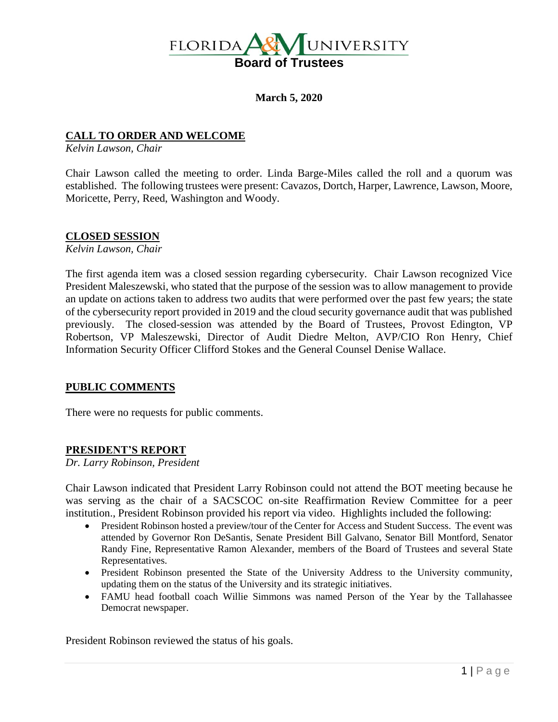

**March 5, 2020**

## **CALL TO ORDER AND WELCOME**

*Kelvin Lawson, Chair*

Chair Lawson called the meeting to order. Linda Barge-Miles called the roll and a quorum was established. The following trustees were present: Cavazos, Dortch, Harper, Lawrence, Lawson, Moore, Moricette, Perry, Reed, Washington and Woody.

### **CLOSED SESSION**

*Kelvin Lawson, Chair*

The first agenda item was a closed session regarding cybersecurity. Chair Lawson recognized Vice President Maleszewski, who stated that the purpose of the session was to allow management to provide an update on actions taken to address two audits that were performed over the past few years; the state of the cybersecurity report provided in 2019 and the cloud security governance audit that was published previously. The closed-session was attended by the Board of Trustees, Provost Edington, VP Robertson, VP Maleszewski, Director of Audit Diedre Melton, AVP/CIO Ron Henry, Chief Information Security Officer Clifford Stokes and the General Counsel Denise Wallace.

### **PUBLIC COMMENTS**

There were no requests for public comments.

## **PRESIDENT'S REPORT**

*Dr. Larry Robinson, President*

Chair Lawson indicated that President Larry Robinson could not attend the BOT meeting because he was serving as the chair of a SACSCOC on-site Reaffirmation Review Committee for a peer institution., President Robinson provided his report via video. Highlights included the following:

- President Robinson hosted a preview/tour of the Center for Access and Student Success. The event was attended by Governor Ron DeSantis, Senate President Bill Galvano, Senator Bill Montford, Senator Randy Fine, Representative Ramon Alexander, members of the Board of Trustees and several State Representatives.
- President Robinson presented the State of the University Address to the University community, updating them on the status of the University and its strategic initiatives.
- FAMU head football coach Willie Simmons was named Person of the Year by the Tallahassee Democrat newspaper.

President Robinson reviewed the status of his goals.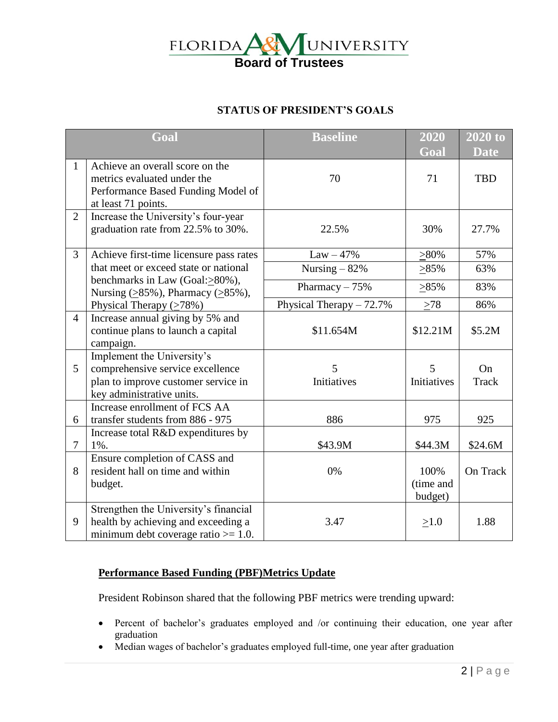

# **STATUS OF PRESIDENT'S GOALS**

| Goal           |                                                                                                                                    | <b>Baseline</b>            | 2020<br>Goal                 | $2020$ to<br><b>Date</b> |
|----------------|------------------------------------------------------------------------------------------------------------------------------------|----------------------------|------------------------------|--------------------------|
| $\mathbf{1}$   | Achieve an overall score on the<br>metrics evaluated under the<br>Performance Based Funding Model of<br>at least 71 points.        | 70                         | 71                           | <b>TBD</b>               |
| $\overline{2}$ | Increase the University's four-year<br>graduation rate from 22.5% to 30%.                                                          | 22.5%                      | 30%                          | 27.7%                    |
| $\overline{3}$ | Achieve first-time licensure pass rates                                                                                            | $Law - 47%$                | $>80\%$                      | 57%                      |
|                | that meet or exceed state or national                                                                                              | Nursing $-82%$             | $>85\%$                      | 63%                      |
|                | benchmarks in Law (Goal: > 80%),<br>Nursing $(≥85\%)$ , Pharmacy $(≥85\%)$ ,                                                       | Pharmacy $-75%$            | $>85\%$                      | 83%                      |
|                | Physical Therapy $(≥78%)$                                                                                                          | Physical Therapy $-72.7\%$ | $>78$                        | 86%                      |
| $\overline{4}$ | Increase annual giving by 5% and<br>continue plans to launch a capital<br>campaign.                                                | \$11.654M                  | \$12.21M                     | \$5.2M                   |
| 5              | Implement the University's<br>comprehensive service excellence<br>plan to improve customer service in<br>key administrative units. | 5<br>Initiatives           | 5<br>Initiatives             | On<br>Track              |
| 6              | Increase enrollment of FCS AA<br>transfer students from 886 - 975                                                                  | 886                        | 975                          | 925                      |
| $\overline{7}$ | Increase total R&D expenditures by<br>$1\%$ .                                                                                      | \$43.9M                    | \$44.3M                      | \$24.6M                  |
| 8              | Ensure completion of CASS and<br>resident hall on time and within<br>budget.                                                       | 0%                         | 100%<br>(time and<br>budget) | On Track                 |
| 9              | Strengthen the University's financial<br>health by achieving and exceeding a<br>minimum debt coverage ratio $\geq 1.0$ .           | 3.47                       | $\geq 1.0$                   | 1.88                     |

# **Performance Based Funding (PBF)Metrics Update**

President Robinson shared that the following PBF metrics were trending upward:

- Percent of bachelor's graduates employed and /or continuing their education, one year after graduation
- Median wages of bachelor's graduates employed full-time, one year after graduation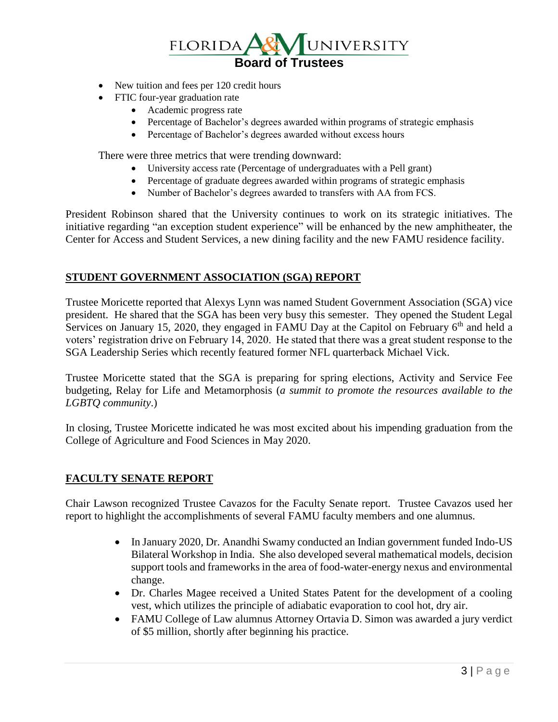

- New tuition and fees per 120 credit hours
- FTIC four-year graduation rate
	- Academic progress rate
	- Percentage of Bachelor's degrees awarded within programs of strategic emphasis
	- Percentage of Bachelor's degrees awarded without excess hours

There were three metrics that were trending downward:

- University access rate (Percentage of undergraduates with a Pell grant)
- Percentage of graduate degrees awarded within programs of strategic emphasis
- Number of Bachelor's degrees awarded to transfers with AA from FCS.

President Robinson shared that the University continues to work on its strategic initiatives. The initiative regarding "an exception student experience" will be enhanced by the new amphitheater, the Center for Access and Student Services, a new dining facility and the new FAMU residence facility.

### **STUDENT GOVERNMENT ASSOCIATION (SGA) REPORT**

Trustee Moricette reported that Alexys Lynn was named Student Government Association (SGA) vice president. He shared that the SGA has been very busy this semester. They opened the Student Legal Services on January 15, 2020, they engaged in FAMU Day at the Capitol on February  $6<sup>th</sup>$  and held a voters' registration drive on February 14, 2020. He stated that there was a great student response to the SGA Leadership Series which recently featured former NFL quarterback Michael Vick.

Trustee Moricette stated that the SGA is preparing for spring elections, Activity and Service Fee budgeting, Relay for Life and Metamorphosis (*a summit to promote the resources available to the LGBTQ community*.)

In closing, Trustee Moricette indicated he was most excited about his impending graduation from the College of Agriculture and Food Sciences in May 2020.

### **FACULTY SENATE REPORT**

Chair Lawson recognized Trustee Cavazos for the Faculty Senate report. Trustee Cavazos used her report to highlight the accomplishments of several FAMU faculty members and one alumnus.

- In January 2020, Dr. Anandhi Swamy conducted an Indian government funded Indo-US Bilateral Workshop in India. She also developed several mathematical models, decision support tools and frameworks in the area of food-water-energy nexus and environmental change.
- Dr. Charles Magee received a United States Patent for the development of a cooling vest, which utilizes the principle of adiabatic evaporation to cool hot, dry air.
- FAMU College of Law alumnus Attorney Ortavia D. Simon was awarded a jury verdict of \$5 million, shortly after beginning his practice.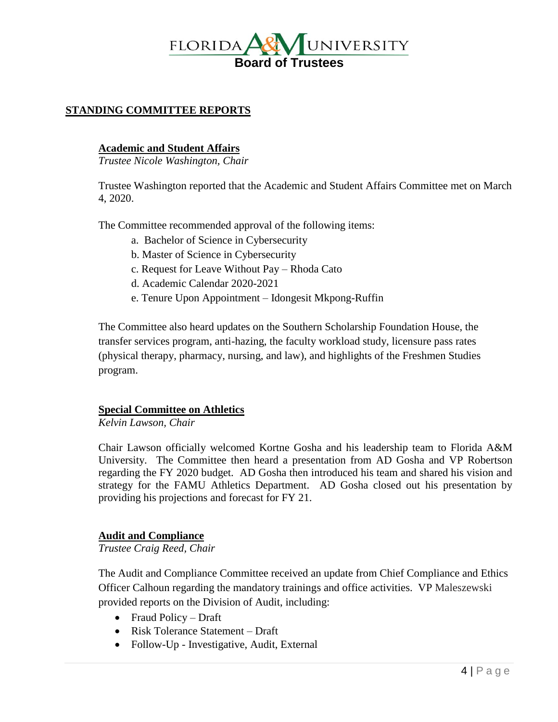

# **STANDING COMMITTEE REPORTS**

### **Academic and Student Affairs**

*Trustee Nicole Washington, Chair*

Trustee Washington reported that the Academic and Student Affairs Committee met on March 4, 2020.

The Committee recommended approval of the following items:

- a. Bachelor of Science in Cybersecurity
- b. Master of Science in Cybersecurity
- c. Request for Leave Without Pay Rhoda Cato
- d. Academic Calendar 2020-2021
- e. Tenure Upon Appointment Idongesit Mkpong-Ruffin

The Committee also heard updates on the Southern Scholarship Foundation House, the transfer services program, anti-hazing, the faculty workload study, licensure pass rates (physical therapy, pharmacy, nursing, and law), and highlights of the Freshmen Studies program.

### **Special Committee on Athletics**

*Kelvin Lawson, Chair*

Chair Lawson officially welcomed Kortne Gosha and his leadership team to Florida A&M University. The Committee then heard a presentation from AD Gosha and VP Robertson regarding the FY 2020 budget. AD Gosha then introduced his team and shared his vision and strategy for the FAMU Athletics Department. AD Gosha closed out his presentation by providing his projections and forecast for FY 21.

### **Audit and Compliance**

*Trustee Craig Reed, Chair*

The Audit and Compliance Committee received an update from Chief Compliance and Ethics Officer Calhoun regarding the mandatory trainings and office activities. VP Maleszewski provided reports on the Division of Audit, including:

- Fraud Policy Draft
- Risk Tolerance Statement Draft
- Follow-Up Investigative, Audit, External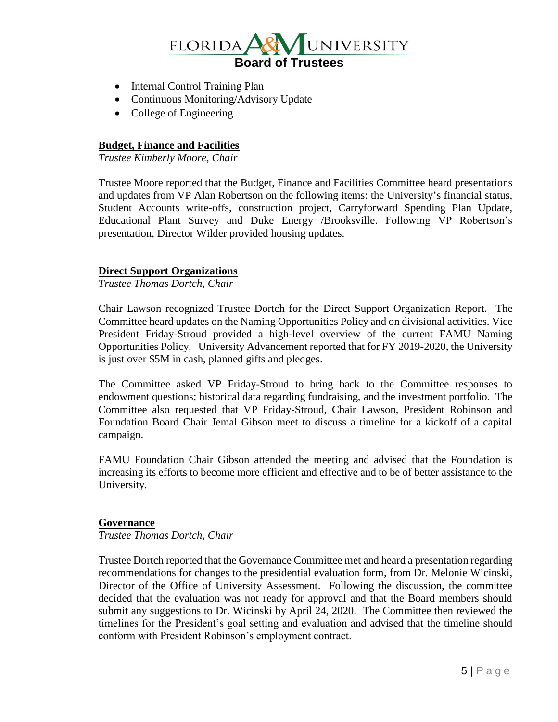

- Internal Control Training Plan
- Continuous Monitoring/Advisory Update
- College of Engineering

# **Budget, Finance and Facilities**

*Trustee Kimberly Moore, Chair*

Trustee Moore reported that the Budget, Finance and Facilities Committee heard presentations and updates from VP Alan Robertson on the following items: the University's financial status, Student Accounts write-offs, construction project, Carryforward Spending Plan Update, Educational Plant Survey and Duke Energy /Brooksville. Following VP Robertson's presentation, Director Wilder provided housing updates.

#### **Direct Support Organizations**

*Trustee Thomas Dortch, Chair*

Chair Lawson recognized Trustee Dortch for the Direct Support Organization Report. The Committee heard updates on the Naming Opportunities Policy and on divisional activities. Vice President Friday-Stroud provided a high-level overview of the current FAMU Naming Opportunities Policy. University Advancement reported that for FY 2019-2020, the University is just over \$5M in cash, planned gifts and pledges.

The Committee asked VP Friday-Stroud to bring back to the Committee responses to endowment questions; historical data regarding fundraising, and the investment portfolio. The Committee also requested that VP Friday-Stroud, Chair Lawson, President Robinson and Foundation Board Chair Jemal Gibson meet to discuss a timeline for a kickoff of a capital campaign.

FAMU Foundation Chair Gibson attended the meeting and advised that the Foundation is increasing its efforts to become more efficient and effective and to be of better assistance to the University.

#### **Governance**

*Trustee Thomas Dortch, Chair*

Trustee Dortch reported that the Governance Committee met and heard a presentation regarding recommendations for changes to the presidential evaluation form, from Dr. Melonie Wicinski, Director of the Office of University Assessment. Following the discussion, the committee decided that the evaluation was not ready for approval and that the Board members should submit any suggestions to Dr. Wicinski by April 24, 2020. The Committee then reviewed the timelines for the President's goal setting and evaluation and advised that the timeline should conform with President Robinson's employment contract.